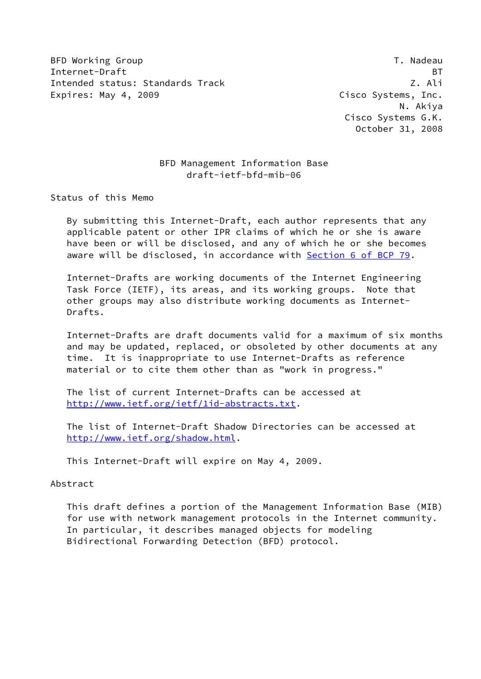BFD Working Group and the contract of the contract of the contract of the contract of the contract of the contract of the contract of the contract of the contract of the contract of the contract of the contract of the cont Internet-Draft BT Intended status: Standards Track Z. Ali Expires: May 4, 2009 **Cisco Systems**, Inc.

 N. Akiya Cisco Systems G.K. October 31, 2008

# BFD Management Information Base draft-ietf-bfd-mib-06

Status of this Memo

 By submitting this Internet-Draft, each author represents that any applicable patent or other IPR claims of which he or she is aware have been or will be disclosed, and any of which he or she becomes aware will be disclosed, in accordance with Section [6 of BCP 79.](https://datatracker.ietf.org/doc/pdf/bcp79#section-6)

 Internet-Drafts are working documents of the Internet Engineering Task Force (IETF), its areas, and its working groups. Note that other groups may also distribute working documents as Internet- Drafts.

 Internet-Drafts are draft documents valid for a maximum of six months and may be updated, replaced, or obsoleted by other documents at any time. It is inappropriate to use Internet-Drafts as reference material or to cite them other than as "work in progress."

 The list of current Internet-Drafts can be accessed at <http://www.ietf.org/ietf/1id-abstracts.txt>.

 The list of Internet-Draft Shadow Directories can be accessed at <http://www.ietf.org/shadow.html>.

This Internet-Draft will expire on May 4, 2009.

### Abstract

 This draft defines a portion of the Management Information Base (MIB) for use with network management protocols in the Internet community. In particular, it describes managed objects for modeling Bidirectional Forwarding Detection (BFD) protocol.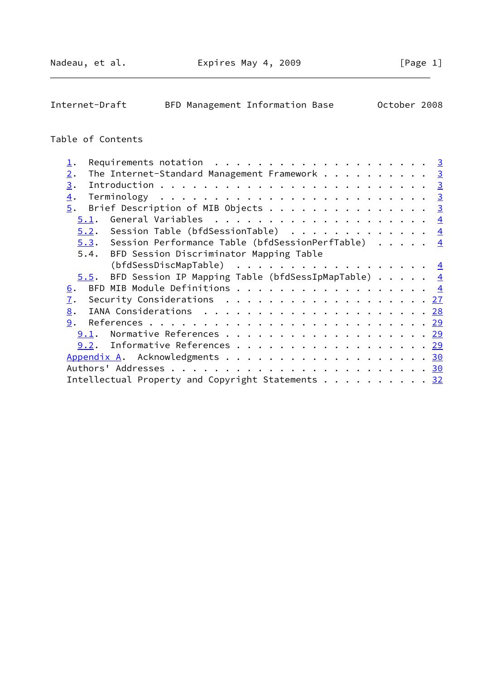Internet-Draft BFD Management Information Base October 2008

# Table of Contents

| Requirements notation $\ldots$ 3<br>$\mathbf 1$ .                                                            |  |  |
|--------------------------------------------------------------------------------------------------------------|--|--|
| The Internet-Standard Management Framework 3<br>2.                                                           |  |  |
| 3.                                                                                                           |  |  |
| $\overline{4}$ .                                                                                             |  |  |
| Brief Description of MIB Objects 3<br>5.                                                                     |  |  |
| 5.1.                                                                                                         |  |  |
| 5.2. Session Table (bfdSessionTable) $\frac{4}{5}$                                                           |  |  |
| 5.3. Session Performance Table (bfdSessionPerfTable) $4$                                                     |  |  |
| 5.4. BFD Session Discriminator Mapping Table                                                                 |  |  |
| (bfdSessDiscMapTable) $\frac{4}{5}$                                                                          |  |  |
| 5.5. BFD Session IP Mapping Table (bfdSessIpMapTable) $\cdots$ $\cdots$ 4                                    |  |  |
| 6.                                                                                                           |  |  |
| Security Considerations $\ldots \ldots \ldots \ldots \ldots \ldots \ldots \frac{27}{27}$<br>$\overline{1}$ . |  |  |
| 8.                                                                                                           |  |  |
| 9.                                                                                                           |  |  |
| Normative References 29<br>9.1.                                                                              |  |  |
| $9.2$ . Informative References 29                                                                            |  |  |
| Appendix A. Acknowledgments 30                                                                               |  |  |
|                                                                                                              |  |  |
| Intellectual Property and Copyright Statements 32                                                            |  |  |
|                                                                                                              |  |  |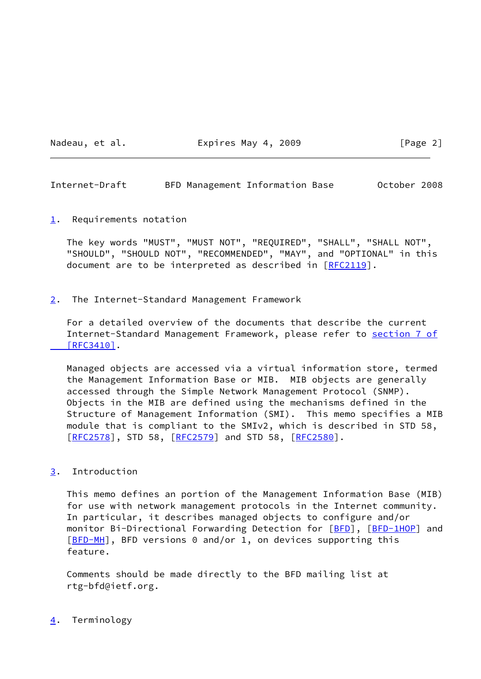Nadeau, et al. **Expires May 4, 2009** [Page 2]

<span id="page-2-1"></span>Internet-Draft BFD Management Information Base October 2008

<span id="page-2-0"></span>[1](#page-2-0). Requirements notation

 The key words "MUST", "MUST NOT", "REQUIRED", "SHALL", "SHALL NOT", "SHOULD", "SHOULD NOT", "RECOMMENDED", "MAY", and "OPTIONAL" in this document are to be interpreted as described in [\[RFC2119](https://datatracker.ietf.org/doc/pdf/rfc2119)].

<span id="page-2-2"></span>[2](#page-2-2). The Internet-Standard Management Framework

 For a detailed overview of the documents that describe the current Internet-Standard Management Framework, please refer to [section](https://datatracker.ietf.org/doc/pdf/rfc3410#section-7) 7 of  [\[RFC3410\]](https://datatracker.ietf.org/doc/pdf/rfc3410#section-7).

 Managed objects are accessed via a virtual information store, termed the Management Information Base or MIB. MIB objects are generally accessed through the Simple Network Management Protocol (SNMP). Objects in the MIB are defined using the mechanisms defined in the Structure of Management Information (SMI). This memo specifies a MIB module that is compliant to the SMIv2, which is described in STD 58, [\[RFC2578](https://datatracker.ietf.org/doc/pdf/rfc2578)], STD 58, [[RFC2579\]](https://datatracker.ietf.org/doc/pdf/rfc2579) and STD 58, [\[RFC2580](https://datatracker.ietf.org/doc/pdf/rfc2580)].

<span id="page-2-3"></span>[3](#page-2-3). Introduction

 This memo defines an portion of the Management Information Base (MIB) for use with network management protocols in the Internet community. In particular, it describes managed objects to configure and/or monitor Bi-Directional Forwarding Detection for [\[BFD](#page-32-4)], [\[BFD-1HOP](#page-32-5)] and [\[BFD-MH](#page-32-6)], BFD versions 0 and/or 1, on devices supporting this feature.

 Comments should be made directly to the BFD mailing list at rtg-bfd@ietf.org.

<span id="page-2-4"></span>[4](#page-2-4). Terminology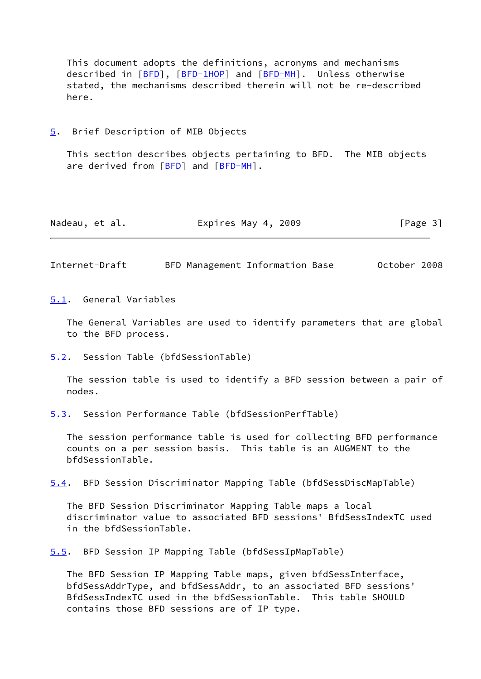This document adopts the definitions, acronyms and mechanisms described in [\[BFD](#page-32-4)], [\[BFD-1HOP](#page-32-5)] and [[BFD-MH](#page-32-6)]. Unless otherwise stated, the mechanisms described therein will not be re-described here.

<span id="page-3-0"></span>[5](#page-3-0). Brief Description of MIB Objects

 This section describes objects pertaining to BFD. The MIB objects are derived from [\[BFD](#page-32-4)] and [[BFD-MH](#page-32-6)].

| Nadeau, et al. | Expires May 4, 2009 | [Page 3] |
|----------------|---------------------|----------|
|----------------|---------------------|----------|

<span id="page-3-2"></span>Internet-Draft BFD Management Information Base October 2008

<span id="page-3-1"></span>[5.1](#page-3-1). General Variables

 The General Variables are used to identify parameters that are global to the BFD process.

<span id="page-3-3"></span>[5.2](#page-3-3). Session Table (bfdSessionTable)

 The session table is used to identify a BFD session between a pair of nodes.

<span id="page-3-4"></span>[5.3](#page-3-4). Session Performance Table (bfdSessionPerfTable)

 The session performance table is used for collecting BFD performance counts on a per session basis. This table is an AUGMENT to the bfdSessionTable.

<span id="page-3-6"></span>[5.4](#page-3-6). BFD Session Discriminator Mapping Table (bfdSessDiscMapTable)

 The BFD Session Discriminator Mapping Table maps a local discriminator value to associated BFD sessions' BfdSessIndexTC used in the bfdSessionTable.

<span id="page-3-5"></span>[5.5](#page-3-5). BFD Session IP Mapping Table (bfdSessIpMapTable)

 The BFD Session IP Mapping Table maps, given bfdSessInterface, bfdSessAddrType, and bfdSessAddr, to an associated BFD sessions' BfdSessIndexTC used in the bfdSessionTable. This table SHOULD contains those BFD sessions are of IP type.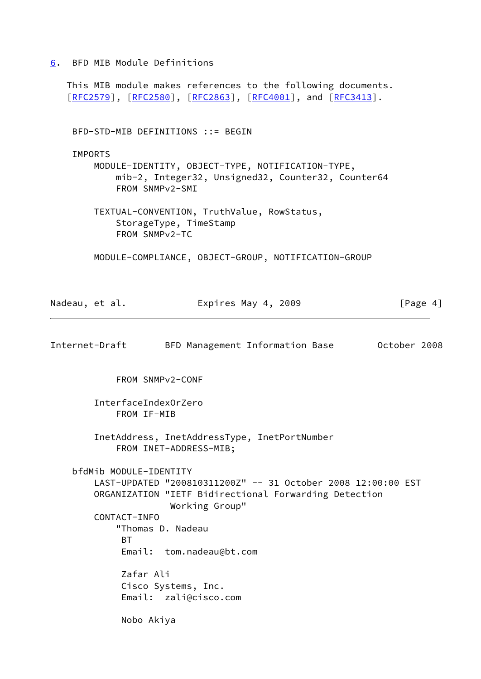<span id="page-4-0"></span>[6](#page-4-0). BFD MIB Module Definitions

 This MIB module makes references to the following documents. [\[RFC2579](https://datatracker.ietf.org/doc/pdf/rfc2579)], [[RFC2580\]](https://datatracker.ietf.org/doc/pdf/rfc2580), [[RFC2863](https://datatracker.ietf.org/doc/pdf/rfc2863)], [\[RFC4001](https://datatracker.ietf.org/doc/pdf/rfc4001)], and [\[RFC3413](https://datatracker.ietf.org/doc/pdf/rfc3413)]. BFD-STD-MIB DEFINITIONS ::= BEGIN **TMPORTS**  MODULE-IDENTITY, OBJECT-TYPE, NOTIFICATION-TYPE, mib-2, Integer32, Unsigned32, Counter32, Counter64 FROM SNMPv2-SMI TEXTUAL-CONVENTION, TruthValue, RowStatus, StorageType, TimeStamp FROM SNMPv2-TC MODULE-COMPLIANCE, OBJECT-GROUP, NOTIFICATION-GROUP Nadeau, et al. **Expires May 4, 2009** [Page 4] Internet-Draft BFD Management Information Base October 2008 FROM SNMPv2-CONF InterfaceIndexOrZero FROM IF-MIB InetAddress, InetAddressType, InetPortNumber FROM INET-ADDRESS-MIB; bfdMib MODULE-IDENTITY LAST-UPDATED "200810311200Z" -- 31 October 2008 12:00:00 EST ORGANIZATION "IETF Bidirectional Forwarding Detection Working Group" CONTACT-INFO "Thomas D. Nadeau BT Email: tom.nadeau@bt.com Zafar Ali Cisco Systems, Inc. Email: zali@cisco.com Nobo Akiya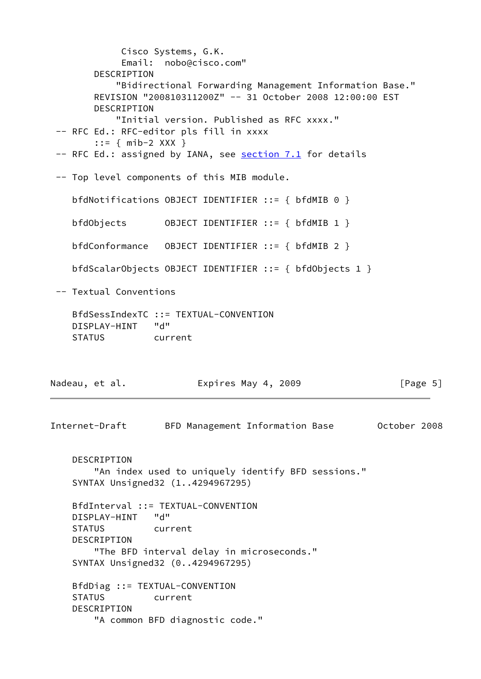Cisco Systems, G.K. Email: nobo@cisco.com" DESCRIPTION "Bidirectional Forwarding Management Information Base." REVISION "200810311200Z" -- 31 October 2008 12:00:00 EST DESCRIPTION "Initial version. Published as RFC xxxx." -- RFC Ed.: RFC-editor pls fill in xxxx ::= { mib-2 XXX } -- RFC Ed.: assigned by IANA, see section 7.1 for details -- Top level components of this MIB module. bfdNotifications OBJECT IDENTIFIER ::= { bfdMIB 0 } bfdObjects OBJECT IDENTIFIER ::= { bfdMIB 1 } bfdConformance OBJECT IDENTIFIER ::= { bfdMIB 2 } bfdScalarObjects OBJECT IDENTIFIER ::= { bfdObjects 1 } -- Textual Conventions BfdSessIndexTC ::= TEXTUAL-CONVENTION DISPLAY-HINT "d" STATUS current Nadeau, et al. **Expires May 4, 2009** [Page 5] Internet-Draft BFD Management Information Base October 2008 DESCRIPTION "An index used to uniquely identify BFD sessions." SYNTAX Unsigned32 (1..4294967295) BfdInterval ::= TEXTUAL-CONVENTION DISPLAY-HINT "d" STATUS current DESCRIPTION "The BFD interval delay in microseconds." SYNTAX Unsigned32 (0..4294967295) BfdDiag ::= TEXTUAL-CONVENTION STATUS current DESCRIPTION "A common BFD diagnostic code."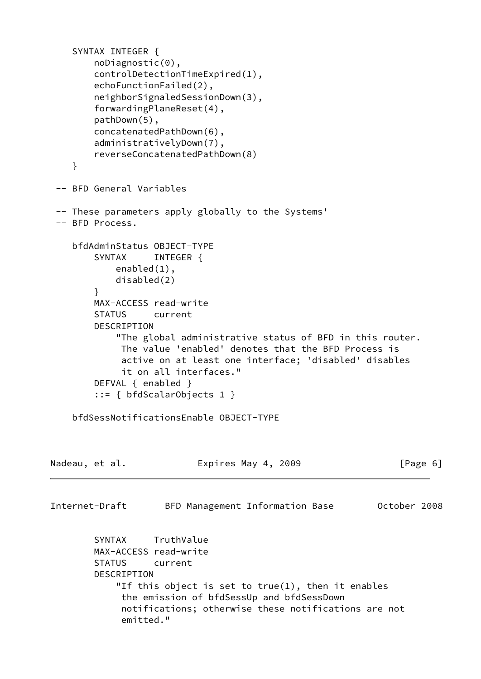```
 SYNTAX INTEGER {
         noDiagnostic(0),
         controlDetectionTimeExpired(1),
         echoFunctionFailed(2),
         neighborSignaledSessionDown(3),
         forwardingPlaneReset(4),
         pathDown(5),
         concatenatedPathDown(6),
         administrativelyDown(7),
         reverseConcatenatedPathDown(8)
     }
  -- BFD General Variables
  -- These parameters apply globally to the Systems'
  -- BFD Process.
     bfdAdminStatus OBJECT-TYPE
        SYNTAX INTEGER {
             enabled(1),
             disabled(2)
         }
         MAX-ACCESS read-write
         STATUS current
         DESCRIPTION
             "The global administrative status of BFD in this router.
              The value 'enabled' denotes that the BFD Process is
              active on at least one interface; 'disabled' disables
              it on all interfaces."
         DEFVAL { enabled }
         ::= { bfdScalarObjects 1 }
     bfdSessNotificationsEnable OBJECT-TYPE
Nadeau, et al.                 Expires May 4, 2009               [Page 6]
Internet-Draft BFD Management Information Base October 2008
         SYNTAX TruthValue
         MAX-ACCESS read-write
         STATUS current
         DESCRIPTION
             "If this object is set to true(1), then it enables
              the emission of bfdSessUp and bfdSessDown
              notifications; otherwise these notifications are not
              emitted."
```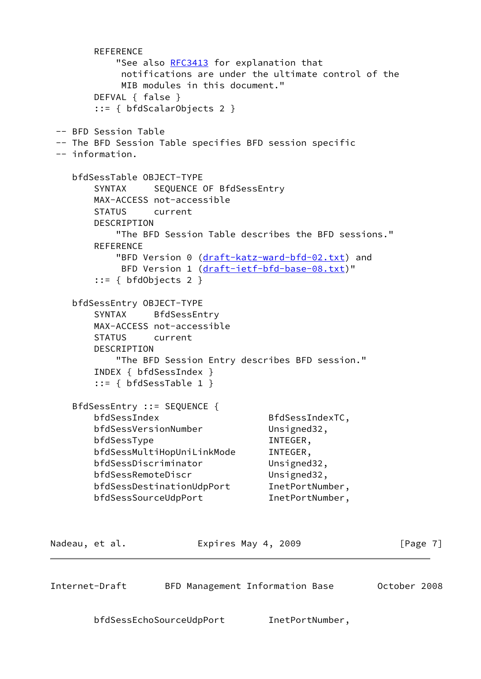```
 REFERENCE
           RFC3413 for explanation that
            notifications are under the ultimate control of the
            MIB modules in this document."
        DEFVAL { false }
        ::= { bfdScalarObjects 2 }
  -- BFD Session Table
  -- The BFD Session Table specifies BFD session specific
  -- information.
    bfdSessTable OBJECT-TYPE
        SYNTAX SEQUENCE OF BfdSessEntry
        MAX-ACCESS not-accessible
        STATUS current
        DESCRIPTION
           "The BFD Session Table describes the BFD sessions."
        REFERENCE
            "BFD Version 0 (draft-katz-ward-bfd-02.txt) and
            BFD Version 1 (draft-ietf-bfd-base-08.txt)"
        ::= { bfdObjects 2 }
    bfdSessEntry OBJECT-TYPE
        SYNTAX BfdSessEntry
        MAX-ACCESS not-accessible
        STATUS current
        DESCRIPTION
           "The BFD Session Entry describes BFD session."
        INDEX { bfdSessIndex }
        ::= { bfdSessTable 1 }
    BfdSessEntry ::= SEQUENCE {
        bfdSessIndex BfdSessIndexTC,
        bfdSessVersionNumber Unsigned32,
       bfdSessType INTEGER,
        bfdSessMultiHopUniLinkMode INTEGER,
        bfdSessDiscriminator Unsigned32,
       bfdSessRemoteDiscr Unsigned32,
        bfdSessDestinationUdpPort InetPortNumber,
        bfdSessSourceUdpPort InetPortNumber,
Nadeau, et al. Expires May 4, 2009 [Page 7]
Internet-Draft BFD Management Information Base October 2008
        bfdSessEchoSourceUdpPort InetPortNumber,
```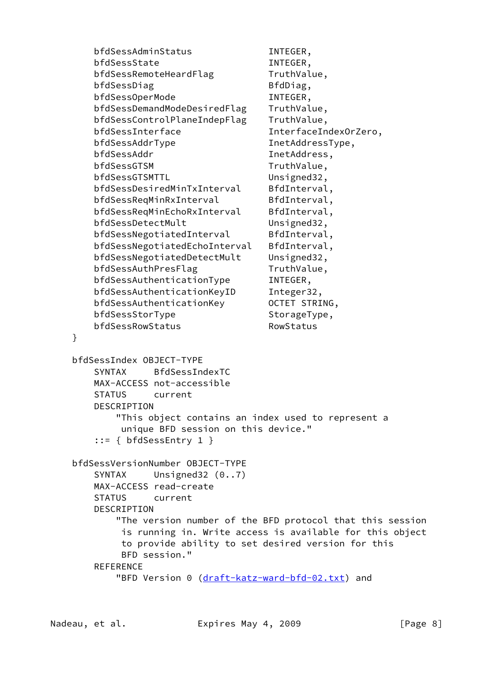bfdSessAdminStatus INTEGER, bfdSessState INTEGER, bfdSessRemoteHeardFlag TruthValue, bfdSessDiag BfdDiag, bfdSessOperMode INTEGER, bfdSessDemandModeDesiredFlag TruthValue, bfdSessControlPlaneIndepFlag TruthValue, bfdSessInterface InterfaceIndexOrZero, bfdSessAddrType InetAddressType, bfdSessAddr InetAddress, bfdSessGTSM TruthValue, bfdSessGTSMTTL Unsigned32, bfdSessDesiredMinTxInterval BfdInterval, bfdSessReqMinRxInterval BfdInterval, bfdSessReqMinEchoRxInterval BfdInterval, bfdSessDetectMult Unsigned32, bfdSessNegotiatedInterval BfdInterval, bfdSessNegotiatedEchoInterval BfdInterval, bfdSessNegotiatedDetectMult Unsigned32, bfdSessAuthPresFlag TruthValue, bfdSessAuthenticationType INTEGER, bfdSessAuthenticationKeyID Integer32, bfdSessAuthenticationKey 0CTET STRING, bfdSessStorType StorageType, bfdSessRowStatus RowStatus } bfdSessIndex OBJECT-TYPE SYNTAX BfdSessIndexTC MAX-ACCESS not-accessible STATUS current DESCRIPTION "This object contains an index used to represent a unique BFD session on this device." ::= { bfdSessEntry 1 } bfdSessVersionNumber OBJECT-TYPE SYNTAX Unsigned32 (0..7) MAX-ACCESS read-create STATUS current DESCRIPTION "The version number of the BFD protocol that this session is running in. Write access is available for this object to provide ability to set desired version for this BFD session." REFERENCE "BFD Version 0 [\(draft-katz-ward-bfd-02.txt\)](https://datatracker.ietf.org/doc/pdf/draft-katz-ward-bfd-02.txt) and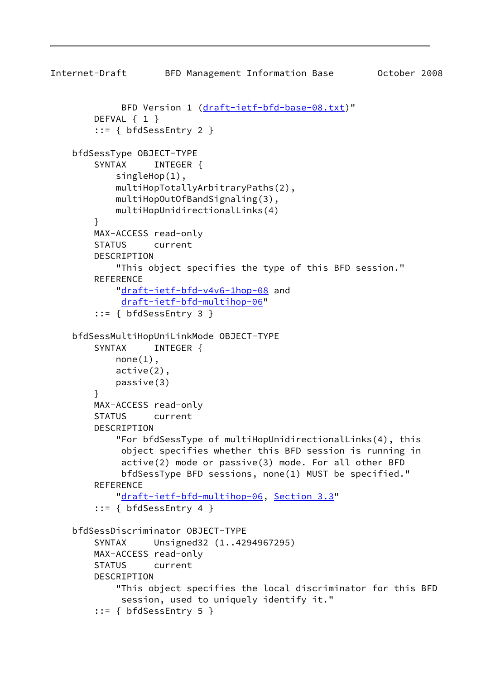```
Internet-Draft BFD Management Information Base October 2008
             (draft-ietf-bfd-base-08.txt)"
         DEFVAL { 1 }
         ::= { bfdSessEntry 2 }
     bfdSessType OBJECT-TYPE
        SYNTAX INTEGER {
             singleHop(1),
             multiHopTotallyArbitraryPaths(2),
             multiHopOutOfBandSignaling(3),
             multiHopUnidirectionalLinks(4)
         }
        MAX-ACCESS read-only
         STATUS current
         DESCRIPTION
             "This object specifies the type of this BFD session."
        REFERENCE
             "draft-ietf-bfd-v4v6-1hop-08 and
              draft-ietf-bfd-multihop-06"
         ::= { bfdSessEntry 3 }
     bfdSessMultiHopUniLinkMode OBJECT-TYPE
        SYNTAX INTEGER {
            none(1),
             active(2),
             passive(3)
         }
         MAX-ACCESS read-only
         STATUS current
         DESCRIPTION
             "For bfdSessType of multiHopUnidirectionalLinks(4), this
              object specifies whether this BFD session is running in
              active(2) mode or passive(3) mode. For all other BFD
              bfdSessType BFD sessions, none(1) MUST be specified."
        REFERENCE
             "draft-ietf-bfd-multihop-06, Section 3.3"
         ::= { bfdSessEntry 4 }
     bfdSessDiscriminator OBJECT-TYPE
         SYNTAX Unsigned32 (1..4294967295)
        MAX-ACCESS read-only
         STATUS current
         DESCRIPTION
             "This object specifies the local discriminator for this BFD
              session, used to uniquely identify it."
         ::= { bfdSessEntry 5 }
```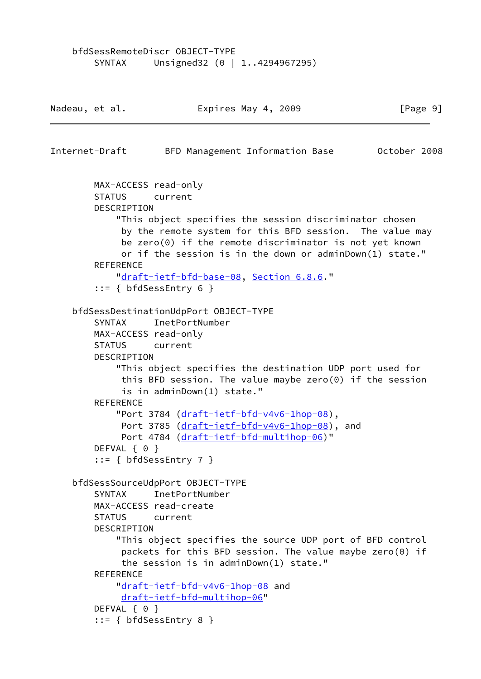```
 bfdSessRemoteDiscr OBJECT-TYPE
       SYNTAX Unsigned32 (0 | 1..4294967295)
Nadeau, et al. Expires May 4, 2009 [Page 9]
Internet-Draft BFD Management Information Base October 2008
        MAX-ACCESS read-only
        STATUS current
        DESCRIPTION
             "This object specifies the session discriminator chosen
             by the remote system for this BFD session. The value may
             be zero(0) if the remote discriminator is not yet known
             or if the session is in the down or adminDown(1) state."
       REFERENCE
            "draft-ietf-bfd-base-08, Section 6.8.6."
         ::= { bfdSessEntry 6 }
     bfdSessDestinationUdpPort OBJECT-TYPE
        SYNTAX InetPortNumber
        MAX-ACCESS read-only
        STATUS current
        DESCRIPTION
            "This object specifies the destination UDP port used for
             this BFD session. The value maybe zero(0) if the session
             is in adminDown(1) state."
        REFERENCE
            "Port 3784 (draft-ietf-bfd-v4v6-1hop-08),
            (draft-ietf-bfd-v4v6-1hop-08), and
             Port 4784 (draft-ietf-bfd-multihop-06)"
       DEFVAL { 0 }
         ::= { bfdSessEntry 7 }
     bfdSessSourceUdpPort OBJECT-TYPE
        SYNTAX InetPortNumber
        MAX-ACCESS read-create
        STATUS current
        DESCRIPTION
            "This object specifies the source UDP port of BFD control
             packets for this BFD session. The value maybe zero(0) if
             the session is in adminDown(1) state."
        REFERENCE
            "draft-ietf-bfd-v4v6-1hop-08 and
             draft-ietf-bfd-multihop-06"
       DEFVAL { 0 }
         ::= { bfdSessEntry 8 }
```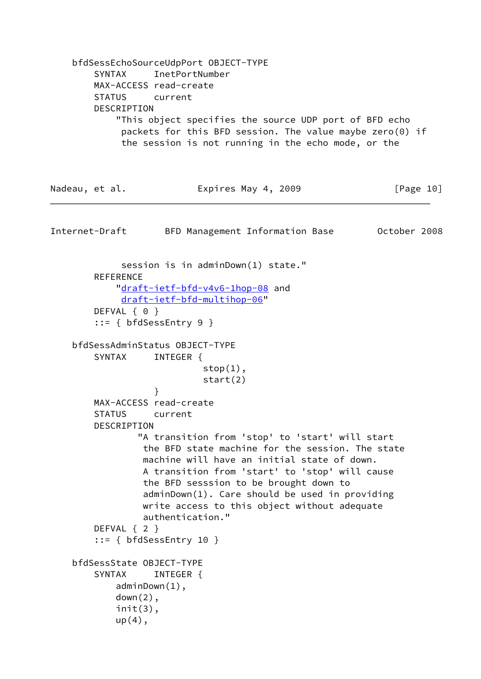bfdSessEchoSourceUdpPort OBJECT-TYPE SYNTAX InetPortNumber MAX-ACCESS read-create STATUS current DESCRIPTION "This object specifies the source UDP port of BFD echo packets for this BFD session. The value maybe zero(0) if the session is not running in the echo mode, or the Nadeau, et al. **Expires May 4, 2009** [Page 10] Internet-Draft BFD Management Information Base October 2008 session is in adminDown(1) state." **REFERENCE**  ["draft-ietf-bfd-v4v6-1hop-08](https://datatracker.ietf.org/doc/pdf/draft-ietf-bfd-v4v6-1hop-08) and [draft-ietf-bfd-multihop-06"](https://datatracker.ietf.org/doc/pdf/draft-ietf-bfd-multihop-06) DEFVAL { 0 } ::= { bfdSessEntry 9 } bfdSessAdminStatus OBJECT-TYPE SYNTAX INTEGER {  $stop(1)$ , start(2) } MAX-ACCESS read-create STATUS current DESCRIPTION "A transition from 'stop' to 'start' will start the BFD state machine for the session. The state machine will have an initial state of down. A transition from 'start' to 'stop' will cause the BFD sesssion to be brought down to adminDown(1). Care should be used in providing write access to this object without adequate authentication." DEFVAL { 2 } ::= { bfdSessEntry 10 } bfdSessState OBJECT-TYPE SYNTAX INTEGER { adminDown(1),  $down(2)$ , init(3), up(4),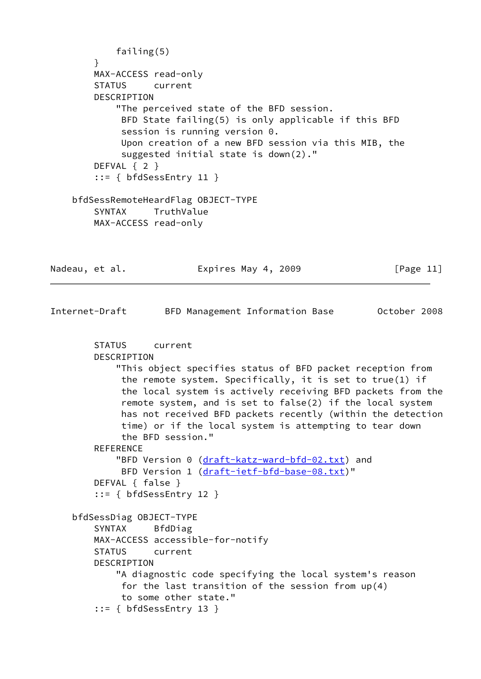```
 failing(5)
         }
        MAX-ACCESS read-only
        STATUS current
        DESCRIPTION
             "The perceived state of the BFD session.
             BFD State failing(5) is only applicable if this BFD
              session is running version 0.
             Upon creation of a new BFD session via this MIB, the
             suggested initial state is down(2)."
        DEFVAL { 2 }
         ::= { bfdSessEntry 11 }
    bfdSessRemoteHeardFlag OBJECT-TYPE
         SYNTAX TruthValue
        MAX-ACCESS read-only
Nadeau, et al.                 Expires May 4, 2009               [Page 11]
Internet-Draft BFD Management Information Base October 2008
        STATUS current
        DESCRIPTION
             "This object specifies status of BFD packet reception from
             the remote system. Specifically, it is set to true(1) if
             the local system is actively receiving BFD packets from the
              remote system, and is set to false(2) if the local system
             has not received BFD packets recently (within the detection
             time) or if the local system is attempting to tear down
             the BFD session."
       REFERENCE
           (draft-katz-ward-bfd-02.txt) and
            (draft-ietf-bfd-base-08.txt)"
        DEFVAL { false }
         ::= { bfdSessEntry 12 }
     bfdSessDiag OBJECT-TYPE
        SYNTAX BfdDiag
        MAX-ACCESS accessible-for-notify
        STATUS current
        DESCRIPTION
             "A diagnostic code specifying the local system's reason
             for the last transition of the session from up(4)
             to some other state."
         ::= { bfdSessEntry 13 }
```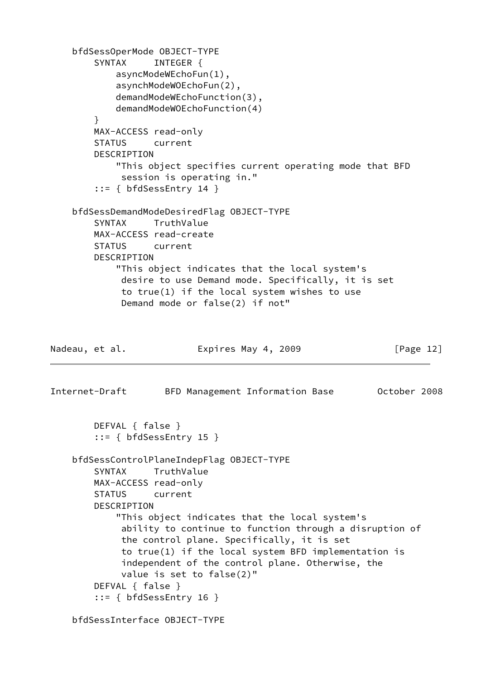```
 bfdSessOperMode OBJECT-TYPE
        SYNTAX INTEGER {
             asyncModeWEchoFun(1),
             asynchModeWOEchoFun(2),
             demandModeWEchoFunction(3),
             demandModeWOEchoFunction(4)
         }
         MAX-ACCESS read-only
         STATUS current
        DESCRIPTION
             "This object specifies current operating mode that BFD
              session is operating in."
         ::= { bfdSessEntry 14 }
     bfdSessDemandModeDesiredFlag OBJECT-TYPE
         SYNTAX TruthValue
         MAX-ACCESS read-create
         STATUS current
         DESCRIPTION
             "This object indicates that the local system's
              desire to use Demand mode. Specifically, it is set
              to true(1) if the local system wishes to use
              Demand mode or false(2) if not"
Nadeau, et al.                 Expires May 4, 2009               [Page 12]
Internet-Draft BFD Management Information Base October 2008
         DEFVAL { false }
         ::= { bfdSessEntry 15 }
     bfdSessControlPlaneIndepFlag OBJECT-TYPE
         SYNTAX TruthValue
         MAX-ACCESS read-only
         STATUS current
         DESCRIPTION
             "This object indicates that the local system's
              ability to continue to function through a disruption of
              the control plane. Specifically, it is set
              to true(1) if the local system BFD implementation is
              independent of the control plane. Otherwise, the
              value is set to false(2)"
         DEFVAL { false }
        ::= { bfdSessEntry 16 }
     bfdSessInterface OBJECT-TYPE
```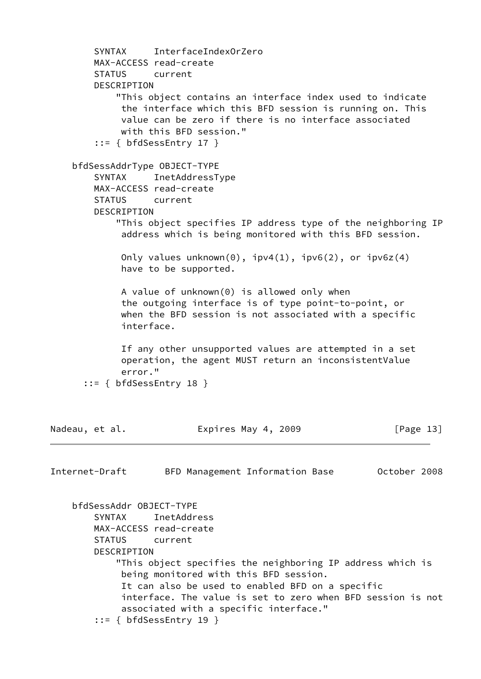```
 SYNTAX InterfaceIndexOrZero
         MAX-ACCESS read-create
         STATUS current
         DESCRIPTION
             "This object contains an interface index used to indicate
              the interface which this BFD session is running on. This
              value can be zero if there is no interface associated
              with this BFD session."
        ::= { bfdSessEntry 17 }
     bfdSessAddrType OBJECT-TYPE
         SYNTAX InetAddressType
         MAX-ACCESS read-create
         STATUS current
         DESCRIPTION
             "This object specifies IP address type of the neighboring IP
              address which is being monitored with this BFD session.
             Only values unknown(0), ipv4(1), ipv6(2), or ipv6z(4) have to be supported.
              A value of unknown(0) is allowed only when
              the outgoing interface is of type point-to-point, or
              when the BFD session is not associated with a specific
              interface.
              If any other unsupported values are attempted in a set
              operation, the agent MUST return an inconsistentValue
              error."
       ::= { bfdSessEntry 18 }
Nadeau, et al.                 Expires May 4, 2009               [Page 13]
Internet-Draft BFD Management Information Base October 2008
     bfdSessAddr OBJECT-TYPE
         SYNTAX InetAddress
         MAX-ACCESS read-create
         STATUS current
         DESCRIPTION
             "This object specifies the neighboring IP address which is
              being monitored with this BFD session.
              It can also be used to enabled BFD on a specific
              interface. The value is set to zero when BFD session is not
              associated with a specific interface."
         ::= { bfdSessEntry 19 }
```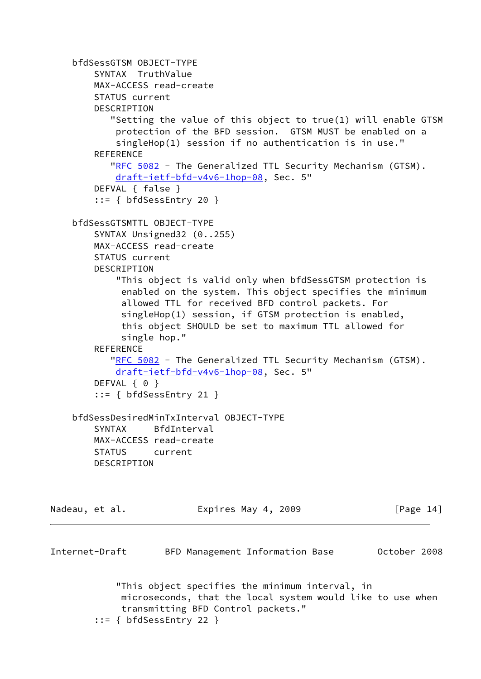```
 bfdSessGTSM OBJECT-TYPE
         SYNTAX TruthValue
         MAX-ACCESS read-create
         STATUS current
         DESCRIPTION
            "Setting the value of this object to true(1) will enable GTSM
             protection of the BFD session. GTSM MUST be enabled on a
             singleHop(1) session if no authentication is in use."
        REFERENCE
           "RFC 5082 - The Generalized TTL Security Mechanism (GTSM).
             draft-ietf-bfd-v4v6-1hop-08, Sec. 5"
         DEFVAL { false }
         ::= { bfdSessEntry 20 }
     bfdSessGTSMTTL OBJECT-TYPE
         SYNTAX Unsigned32 (0..255)
         MAX-ACCESS read-create
         STATUS current
         DESCRIPTION
             "This object is valid only when bfdSessGTSM protection is
              enabled on the system. This object specifies the minimum
              allowed TTL for received BFD control packets. For
              singleHop(1) session, if GTSM protection is enabled,
              this object SHOULD be set to maximum TTL allowed for
              single hop."
        REFERENCE
           "RFC 5082 - The Generalized TTL Security Mechanism (GTSM).
             draft-ietf-bfd-v4v6-1hop-08, Sec. 5"
        DEFVAL { 0 }
         ::= { bfdSessEntry 21 }
     bfdSessDesiredMinTxInterval OBJECT-TYPE
         SYNTAX BfdInterval
         MAX-ACCESS read-create
         STATUS current
         DESCRIPTION
Nadeau, et al.                 Expires May 4, 2009               [Page 14]
Internet-Draft BFD Management Information Base October 2008
             "This object specifies the minimum interval, in
              microseconds, that the local system would like to use when
              transmitting BFD Control packets."
         ::= { bfdSessEntry 22 }
```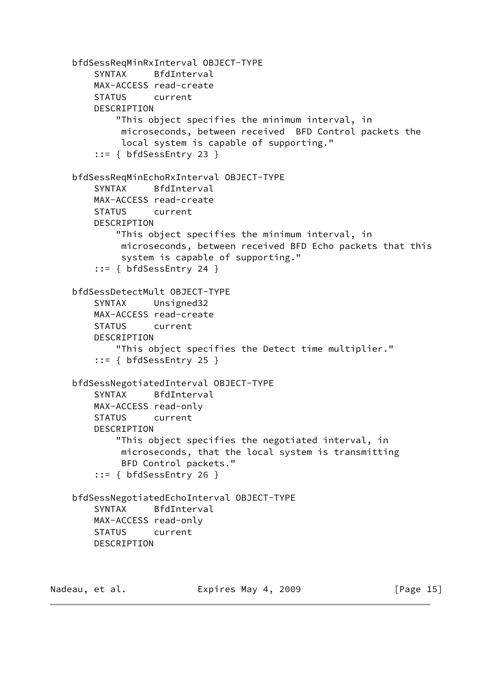```
 bfdSessReqMinRxInterval OBJECT-TYPE
     SYNTAX BfdInterval
     MAX-ACCESS read-create
     STATUS current
     DESCRIPTION
         "This object specifies the minimum interval, in
          microseconds, between received BFD Control packets the
          local system is capable of supporting."
     ::= { bfdSessEntry 23 }
 bfdSessReqMinEchoRxInterval OBJECT-TYPE
     SYNTAX BfdInterval
     MAX-ACCESS read-create
     STATUS current
     DESCRIPTION
         "This object specifies the minimum interval, in
          microseconds, between received BFD Echo packets that this
          system is capable of supporting."
     ::= { bfdSessEntry 24 }
 bfdSessDetectMult OBJECT-TYPE
     SYNTAX Unsigned32
    MAX-ACCESS read-create
     STATUS current
     DESCRIPTION
         "This object specifies the Detect time multiplier."
     ::= { bfdSessEntry 25 }
 bfdSessNegotiatedInterval OBJECT-TYPE
     SYNTAX BfdInterval
    MAX-ACCESS read-only
     STATUS current
     DESCRIPTION
         "This object specifies the negotiated interval, in
          microseconds, that the local system is transmitting
          BFD Control packets."
     ::= { bfdSessEntry 26 }
 bfdSessNegotiatedEchoInterval OBJECT-TYPE
     SYNTAX BfdInterval
     MAX-ACCESS read-only
     STATUS current
     DESCRIPTION
```
Nadeau, et al. **Expires May 4, 2009** [Page 15]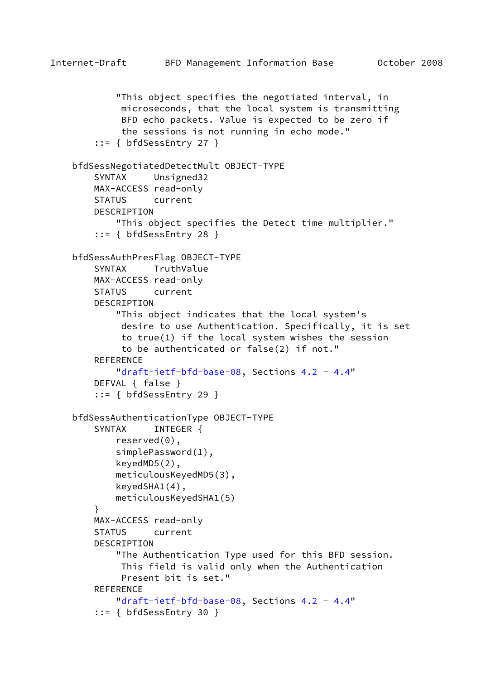```
Internet-Draft BFD Management Information Base October 2008
             "This object specifies the negotiated interval, in
              microseconds, that the local system is transmitting
              BFD echo packets. Value is expected to be zero if
              the sessions is not running in echo mode."
         ::= { bfdSessEntry 27 }
     bfdSessNegotiatedDetectMult OBJECT-TYPE
         SYNTAX Unsigned32
         MAX-ACCESS read-only
         STATUS current
         DESCRIPTION
             "This object specifies the Detect time multiplier."
         ::= { bfdSessEntry 28 }
     bfdSessAuthPresFlag OBJECT-TYPE
         SYNTAX TruthValue
         MAX-ACCESS read-only
         STATUS current
         DESCRIPTION
             "This object indicates that the local system's
              desire to use Authentication. Specifically, it is set
              to true(1) if the local system wishes the session
              to be authenticated or false(2) if not."
        REFERENCE
            "draft-ietf-bfd-base-08, Sections 4.2 - 4.4"
         DEFVAL { false }
         ::= { bfdSessEntry 29 }
     bfdSessAuthenticationType OBJECT-TYPE
        SYNTAX INTEGER {
             reserved(0),
             simplePassword(1),
             keyedMD5(2),
             meticulousKeyedMD5(3),
             keyedSHA1(4),
             meticulousKeyedSHA1(5)
 }
         MAX-ACCESS read-only
         STATUS current
         DESCRIPTION
             "The Authentication Type used for this BFD session.
              This field is valid only when the Authentication
             Present bit is set."
        REFERENCE
            "draft-ietf-bfd-base-08, Sections 4.2 - 4.4"
         ::= { bfdSessEntry 30 }
```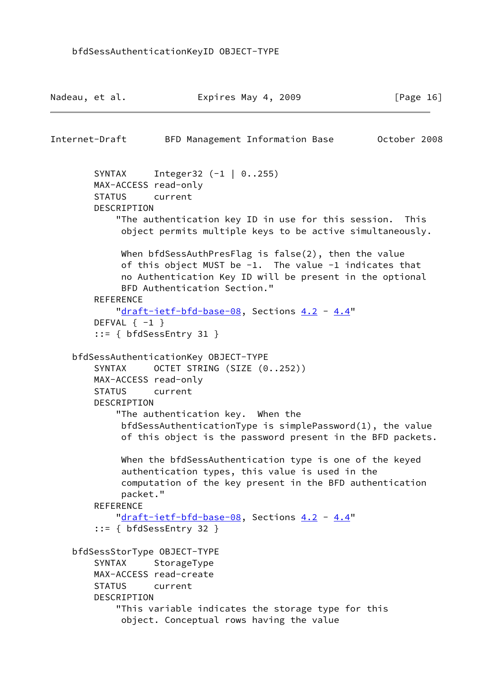```
Nadeau, et al.                 Expires May 4, 2009               [Page 16]
Internet-Draft BFD Management Information Base October 2008
        SYNTAX Integer32 (-1 | 0..255)
        MAX-ACCESS read-only
         STATUS current
         DESCRIPTION
             "The authentication key ID in use for this session. This
              object permits multiple keys to be active simultaneously.
             When bfdSessAuthPresFlag is false(2), then the value
             of this object MUST be -1. The value -1 indicates that
              no Authentication Key ID will be present in the optional
             BFD Authentication Section."
         REFERENCE
            "draft-ietf-bfd-base-08, Sections 4.2 - 4.4"
        DEFVAL \{-1\} ::= { bfdSessEntry 31 }
     bfdSessAuthenticationKey OBJECT-TYPE
        SYNTAX OCTET STRING (SIZE (0..252))
         MAX-ACCESS read-only
         STATUS current
         DESCRIPTION
             "The authentication key. When the
             bfdSessAuthenticationType is simplePassword(1), the value
              of this object is the password present in the BFD packets.
             When the bfdSessAuthentication type is one of the keyed
              authentication types, this value is used in the
             computation of the key present in the BFD authentication
             packet."
        REFERENCE
            "draft-ietf-bfd-base-08, Sections 4.2 - 4.4"
         ::= { bfdSessEntry 32 }
     bfdSessStorType OBJECT-TYPE
        SYNTAX StorageType
        MAX-ACCESS read-create
         STATUS current
         DESCRIPTION
             "This variable indicates the storage type for this
              object. Conceptual rows having the value
```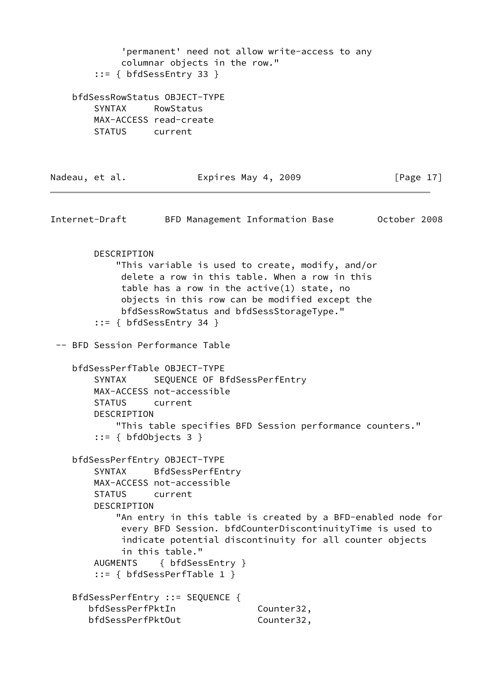'permanent' need not allow write-access to any columnar objects in the row." ::= { bfdSessEntry 33 } bfdSessRowStatus OBJECT-TYPE SYNTAX RowStatus MAX-ACCESS read-create STATUS current Nadeau, et al. **Expires May 4, 2009** [Page 17] Internet-Draft BFD Management Information Base October 2008 DESCRIPTION "This variable is used to create, modify, and/or delete a row in this table. When a row in this table has a row in the active(1) state, no objects in this row can be modified except the bfdSessRowStatus and bfdSessStorageType." ::= { bfdSessEntry 34 } -- BFD Session Performance Table bfdSessPerfTable OBJECT-TYPE SYNTAX SEQUENCE OF BfdSessPerfEntry MAX-ACCESS not-accessible STATUS current DESCRIPTION "This table specifies BFD Session performance counters." ::= { bfdObjects 3 } bfdSessPerfEntry OBJECT-TYPE SYNTAX BfdSessPerfEntry MAX-ACCESS not-accessible STATUS current DESCRIPTION "An entry in this table is created by a BFD-enabled node for every BFD Session. bfdCounterDiscontinuityTime is used to indicate potential discontinuity for all counter objects in this table." AUGMENTS { bfdSessEntry } ::= { bfdSessPerfTable 1 } BfdSessPerfEntry ::= SEQUENCE { bfdSessPerfPktIn Counter32, bfdSessPerfPktOut Counter32,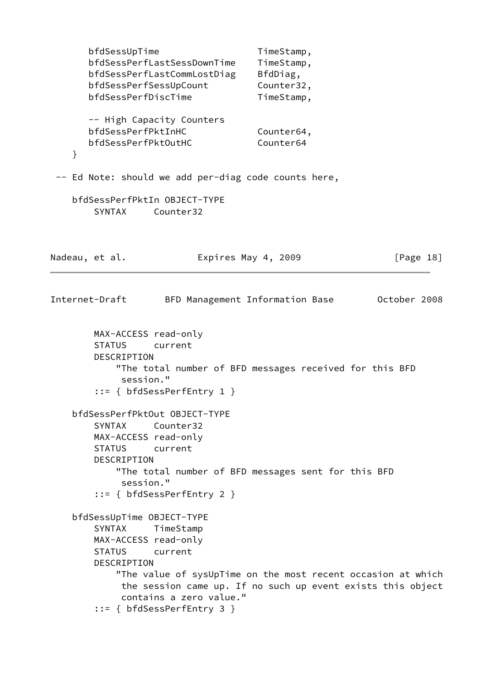bfdSessUpTime TimeStamp, bfdSessPerfLastSessDownTime TimeStamp, bfdSessPerfLastCommLostDiag BfdDiag, bfdSessPerfSessUpCount Counter32, bfdSessPerfDiscTime TimeStamp, -- High Capacity Counters bfdSessPerfPktInHC Counter64, bfdSessPerfPktOutHC Counter64 } -- Ed Note: should we add per-diag code counts here, bfdSessPerfPktIn OBJECT-TYPE SYNTAX Counter32 Nadeau, et al. **Expires May 4, 2009** [Page 18] Internet-Draft BFD Management Information Base October 2008 MAX-ACCESS read-only STATUS current DESCRIPTION "The total number of BFD messages received for this BFD session." ::= { bfdSessPerfEntry 1 } bfdSessPerfPktOut OBJECT-TYPE SYNTAX Counter32 MAX-ACCESS read-only STATUS current DESCRIPTION "The total number of BFD messages sent for this BFD session." ::= { bfdSessPerfEntry 2 } bfdSessUpTime OBJECT-TYPE SYNTAX TimeStamp MAX-ACCESS read-only STATUS current DESCRIPTION "The value of sysUpTime on the most recent occasion at which the session came up. If no such up event exists this object contains a zero value." ::= { bfdSessPerfEntry 3 }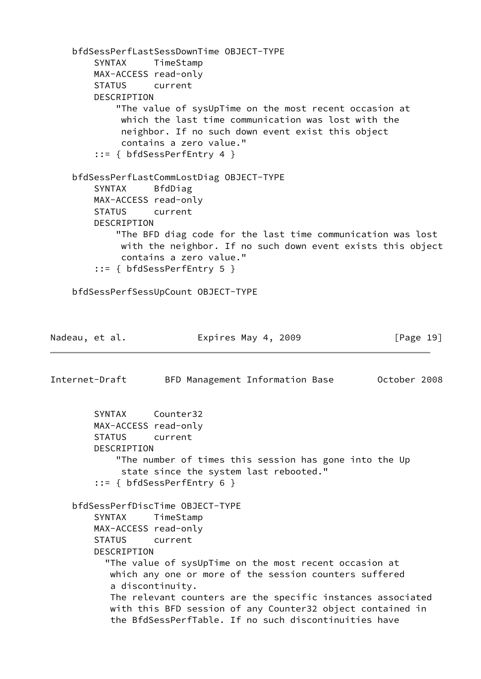```
 bfdSessPerfLastSessDownTime OBJECT-TYPE
         SYNTAX TimeStamp
        MAX-ACCESS read-only
        STATUS current
        DESCRIPTION
            "The value of sysUpTime on the most recent occasion at
             which the last time communication was lost with the
             neighbor. If no such down event exist this object
             contains a zero value."
         ::= { bfdSessPerfEntry 4 }
    bfdSessPerfLastCommLostDiag OBJECT-TYPE
        SYNTAX BfdDiag
        MAX-ACCESS read-only
        STATUS current
        DESCRIPTION
            "The BFD diag code for the last time communication was lost
             with the neighbor. If no such down event exists this object
             contains a zero value."
         ::= { bfdSessPerfEntry 5 }
    bfdSessPerfSessUpCount OBJECT-TYPE
Nadeau, et al. Expires May 4, 2009 [Page 19]
Internet-Draft BFD Management Information Base October 2008
        SYNTAX Counter32
        MAX-ACCESS read-only
        STATUS current
        DESCRIPTION
            "The number of times this session has gone into the Up
             state since the system last rebooted."
         ::= { bfdSessPerfEntry 6 }
    bfdSessPerfDiscTime OBJECT-TYPE
        SYNTAX TimeStamp
        MAX-ACCESS read-only
        STATUS current
        DESCRIPTION
           "The value of sysUpTime on the most recent occasion at
           which any one or more of the session counters suffered
            a discontinuity.
           The relevant counters are the specific instances associated
           with this BFD session of any Counter32 object contained in
            the BfdSessPerfTable. If no such discontinuities have
```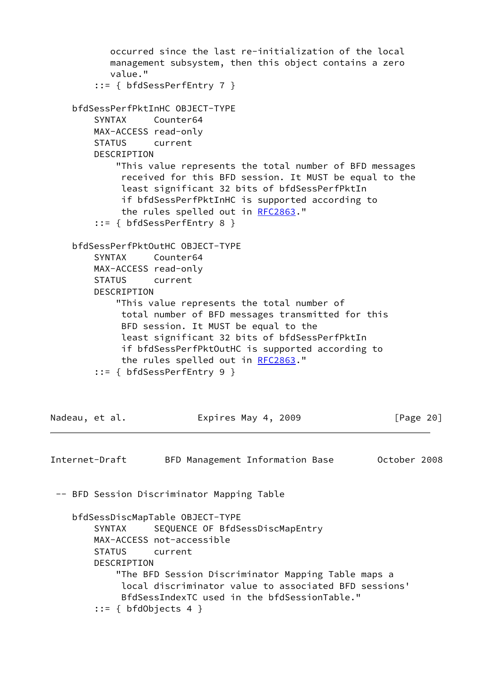```
 occurred since the last re-initialization of the local
           management subsystem, then this object contains a zero
           value."
         ::= { bfdSessPerfEntry 7 }
    bfdSessPerfPktInHC OBJECT-TYPE
        SYNTAX Counter64
        MAX-ACCESS read-only
        STATUS current
       DESCRIPTION
            "This value represents the total number of BFD messages
             received for this BFD session. It MUST be equal to the
             least significant 32 bits of bfdSessPerfPktIn
             if bfdSessPerfPktInHC is supported according to
             the rules spelled out in RFC2863."
         ::= { bfdSessPerfEntry 8 }
     bfdSessPerfPktOutHC OBJECT-TYPE
        SYNTAX Counter64
        MAX-ACCESS read-only
        STATUS current
        DESCRIPTION
            "This value represents the total number of
             total number of BFD messages transmitted for this
             BFD session. It MUST be equal to the
             least significant 32 bits of bfdSessPerfPktIn
             if bfdSessPerfPktOutHC is supported according to
            RFC2863."
         ::= { bfdSessPerfEntry 9 }
Nadeau, et al. Expires May 4, 2009 [Page 20]
Internet-Draft BFD Management Information Base October 2008
 -- BFD Session Discriminator Mapping Table
    bfdSessDiscMapTable OBJECT-TYPE
       SYNTAX SEQUENCE OF BfdSessDiscMapEntry
        MAX-ACCESS not-accessible
        STATUS current
        DESCRIPTION
            "The BFD Session Discriminator Mapping Table maps a
             local discriminator value to associated BFD sessions'
             BfdSessIndexTC used in the bfdSessionTable."
       ::= { bfdObjects 4 }
```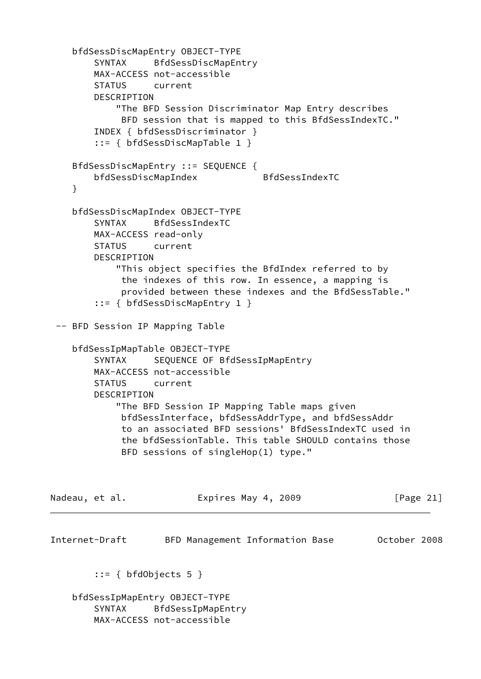```
 bfdSessDiscMapEntry OBJECT-TYPE
         SYNTAX BfdSessDiscMapEntry
         MAX-ACCESS not-accessible
         STATUS current
         DESCRIPTION
             "The BFD Session Discriminator Map Entry describes
             BFD session that is mapped to this BfdSessIndexTC."
         INDEX { bfdSessDiscriminator }
         ::= { bfdSessDiscMapTable 1 }
     BfdSessDiscMapEntry ::= SEQUENCE {
         bfdSessDiscMapIndex BfdSessIndexTC
     }
     bfdSessDiscMapIndex OBJECT-TYPE
         SYNTAX BfdSessIndexTC
         MAX-ACCESS read-only
         STATUS current
        DESCRIPTION
             "This object specifies the BfdIndex referred to by
             the indexes of this row. In essence, a mapping is
              provided between these indexes and the BfdSessTable."
         ::= { bfdSessDiscMapEntry 1 }
  -- BFD Session IP Mapping Table
     bfdSessIpMapTable OBJECT-TYPE
        SYNTAX SEQUENCE OF BfdSessIpMapEntry
         MAX-ACCESS not-accessible
         STATUS current
         DESCRIPTION
             "The BFD Session IP Mapping Table maps given
             bfdSessInterface, bfdSessAddrType, and bfdSessAddr
              to an associated BFD sessions' BfdSessIndexTC used in
              the bfdSessionTable. This table SHOULD contains those
              BFD sessions of singleHop(1) type."
Nadeau, et al.                   Expires May 4, 2009               [Page 21]
Internet-Draft BFD Management Information Base October 2008
        ::= { bfdObjects 5 }
     bfdSessIpMapEntry OBJECT-TYPE
         SYNTAX BfdSessIpMapEntry
         MAX-ACCESS not-accessible
```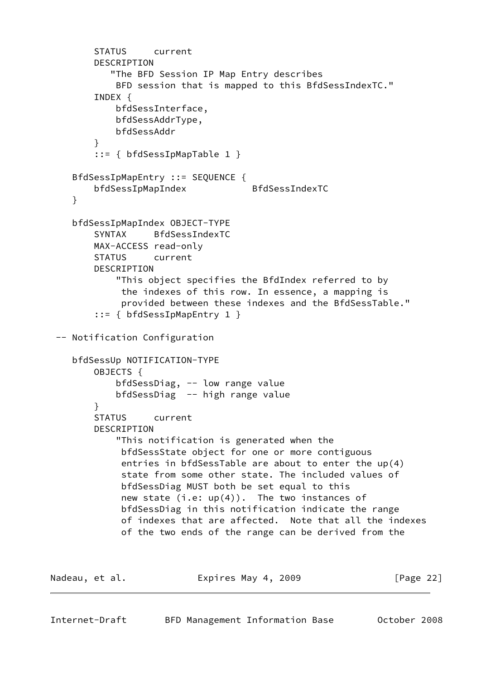```
 STATUS current
         DESCRIPTION
            "The BFD Session IP Map Entry describes
             BFD session that is mapped to this BfdSessIndexTC."
         INDEX {
             bfdSessInterface,
             bfdSessAddrType,
             bfdSessAddr
         }
         ::= { bfdSessIpMapTable 1 }
     BfdSessIpMapEntry ::= SEQUENCE {
         bfdSessIpMapIndex BfdSessIndexTC
     }
     bfdSessIpMapIndex OBJECT-TYPE
         SYNTAX BfdSessIndexTC
         MAX-ACCESS read-only
         STATUS current
         DESCRIPTION
             "This object specifies the BfdIndex referred to by
              the indexes of this row. In essence, a mapping is
              provided between these indexes and the BfdSessTable."
         ::= { bfdSessIpMapEntry 1 }
  -- Notification Configuration
     bfdSessUp NOTIFICATION-TYPE
         OBJECTS {
             bfdSessDiag, -- low range value
             bfdSessDiag -- high range value
         }
         STATUS current
         DESCRIPTION
             "This notification is generated when the
              bfdSessState object for one or more contiguous
              entries in bfdSessTable are about to enter the up(4)
              state from some other state. The included values of
              bfdSessDiag MUST both be set equal to this
             new state (i.e: up(4)). The two instances of
              bfdSessDiag in this notification indicate the range
              of indexes that are affected. Note that all the indexes
              of the two ends of the range can be derived from the
Nadeau, et al.                 Expires May 4, 2009               [Page 22]
```
Internet-Draft BFD Management Information Base October 2008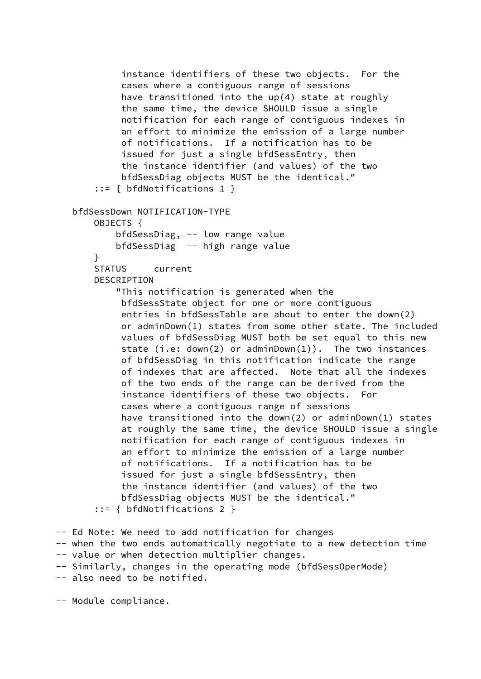```
 instance identifiers of these two objects. For the
             cases where a contiguous range of sessions
             have transitioned into the up(4) state at roughly
             the same time, the device SHOULD issue a single
             notification for each range of contiguous indexes in
             an effort to minimize the emission of a large number
             of notifications. If a notification has to be
             issued for just a single bfdSessEntry, then
             the instance identifier (and values) of the two
             bfdSessDiag objects MUST be the identical."
        ::= { bfdNotifications 1 }
    bfdSessDown NOTIFICATION-TYPE
        OBJECTS {
            bfdSessDiag, -- low range value
            bfdSessDiag -- high range value
        }
        STATUS current
        DESCRIPTION
            "This notification is generated when the
             bfdSessState object for one or more contiguous
             entries in bfdSessTable are about to enter the down(2)
             or adminDown(1) states from some other state. The included
             values of bfdSessDiag MUST both be set equal to this new
            state (i.e: down(2) or adminDown(1)). The two instances
             of bfdSessDiag in this notification indicate the range
             of indexes that are affected. Note that all the indexes
             of the two ends of the range can be derived from the
             instance identifiers of these two objects. For
             cases where a contiguous range of sessions
             have transitioned into the down(2) or adminDown(1) states
             at roughly the same time, the device SHOULD issue a single
             notification for each range of contiguous indexes in
             an effort to minimize the emission of a large number
             of notifications. If a notification has to be
             issued for just a single bfdSessEntry, then
             the instance identifier (and values) of the two
             bfdSessDiag objects MUST be the identical."
        ::= { bfdNotifications 2 }
 -- Ed Note: We need to add notification for changes
```
-- when the two ends automatically negotiate to a new detection time

- -- value or when detection multiplier changes.
- -- Similarly, changes in the operating mode (bfdSessOperMode)
- -- also need to be notified.

-- Module compliance.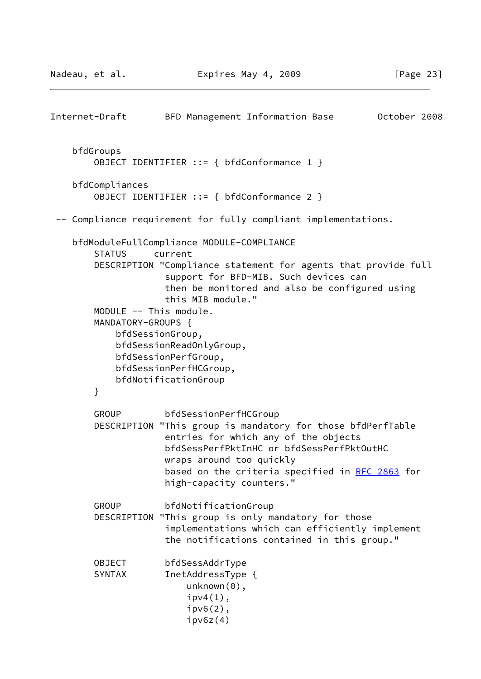```
Internet-Draft BFD Management Information Base October 2008
    bfdGroups
        OBJECT IDENTIFIER ::= { bfdConformance 1 }
     bfdCompliances
        OBJECT IDENTIFIER ::= { bfdConformance 2 }
  -- Compliance requirement for fully compliant implementations.
    bfdModuleFullCompliance MODULE-COMPLIANCE
        STATUS current
        DESCRIPTION "Compliance statement for agents that provide full
                     support for BFD-MIB. Such devices can
                     then be monitored and also be configured using
                     this MIB module."
        MODULE -- This module.
        MANDATORY-GROUPS {
            bfdSessionGroup,
            bfdSessionReadOnlyGroup,
            bfdSessionPerfGroup,
            bfdSessionPerfHCGroup,
            bfdNotificationGroup
        }
        GROUP bfdSessionPerfHCGroup
        DESCRIPTION "This group is mandatory for those bfdPerfTable
                     entries for which any of the objects
                     bfdSessPerfPktInHC or bfdSessPerfPktOutHC
                     wraps around too quickly
                     RFC 2863 for
                     high-capacity counters."
        GROUP bfdNotificationGroup
        DESCRIPTION "This group is only mandatory for those
                     implementations which can efficiently implement
                     the notifications contained in this group."
        OBJECT bfdSessAddrType
       SYNTAX InetAddressType {
                         unknown(0),
                        ipv4(1),
                         ipv6(2),
                        ipv6z(4)
```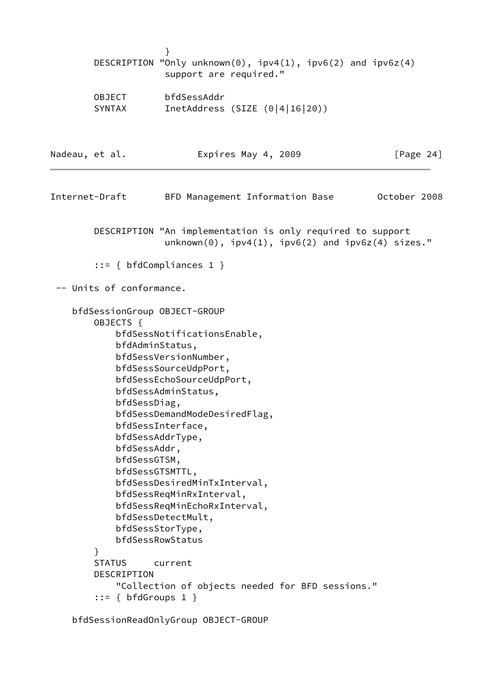|                |                                                                                                                                      | }<br>DESCRIPTION "Only unknown(0), $ipv4(1)$ , $ipv6(2)$ and $ipv6z(4)$<br>support are required."                                                                                                                                                                                                                                                                     |                     |  |              |           |
|----------------|--------------------------------------------------------------------------------------------------------------------------------------|-----------------------------------------------------------------------------------------------------------------------------------------------------------------------------------------------------------------------------------------------------------------------------------------------------------------------------------------------------------------------|---------------------|--|--------------|-----------|
|                | <b>OBJECT</b><br>SYNTAX                                                                                                              | bfdSessAddr<br>InetAddress (SIZE $(0 4 16 20)$ )                                                                                                                                                                                                                                                                                                                      |                     |  |              |           |
| Nadeau, et al. |                                                                                                                                      |                                                                                                                                                                                                                                                                                                                                                                       | Expires May 4, 2009 |  |              | [Page 24] |
| Internet-Draft |                                                                                                                                      | BFD Management Information Base                                                                                                                                                                                                                                                                                                                                       |                     |  | October 2008 |           |
|                |                                                                                                                                      | DESCRIPTION "An implementation is only required to support<br>$unknown(0)$ , $ipv4(1)$ , $ipv6(2)$ and $ipv6z(4)$ sizes."                                                                                                                                                                                                                                             |                     |  |              |           |
|                |                                                                                                                                      | $::= \{ bfdCompliances 1 \}$                                                                                                                                                                                                                                                                                                                                          |                     |  |              |           |
|                | -- Units of conformance.                                                                                                             |                                                                                                                                                                                                                                                                                                                                                                       |                     |  |              |           |
|                | bfdSessionGroup OBJECT-GROUP<br>OBJECTS {<br>bfdAdminStatus,<br>bfdSessDiag,<br>bfdSessAddr,<br>bfdSessGTSM,<br>bfdSessGTSMTTL,<br>} | bfdSessNotificationsEnable,<br>bfdSessVersionNumber,<br>bfdSessSourceUdpPort,<br>bfdSessEchoSourceUdpPort,<br>bfdSessAdminStatus,<br>bfdSessDemandModeDesiredFlag,<br>bfdSessInterface,<br>bfdSessAddrType,<br>bfdSessDesiredMinTxInterval,<br>bfdSessReqMinRxInterval,<br>bfdSessReqMinEchoRxInterval,<br>bfdSessDetectMult,<br>bfdSessStorType,<br>bfdSessRowStatus |                     |  |              |           |
|                | <b>STATUS</b><br>DESCRIPTION<br>$::= \{ bfdGroups 1 \}$                                                                              | current<br>"Collection of objects needed for BFD sessions."                                                                                                                                                                                                                                                                                                           |                     |  |              |           |

bfdSessionReadOnlyGroup OBJECT-GROUP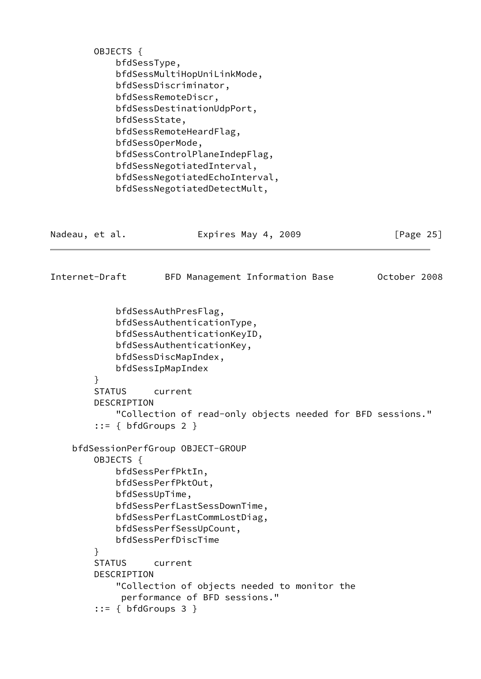|                | OBJECTS {          | bfdSessType,<br>bfdSessMultiHopUniLinkMode,<br>bfdSessDiscriminator,<br>bfdSessRemoteDiscr,<br>bfdSessDestinationUdpPort,<br>bfdSessState,<br>bfdSessRemoteHeardFlag,<br>bfdSessOperMode,<br>bfdSessControlPlaneIndepFlag,<br>bfdSessNegotiatedInterval,<br>bfdSessNegotiatedEchoInterval,<br>bfdSessNegotiatedDetectMult, |                                 |  |              |
|----------------|--------------------|----------------------------------------------------------------------------------------------------------------------------------------------------------------------------------------------------------------------------------------------------------------------------------------------------------------------------|---------------------------------|--|--------------|
| Nadeau, et al. |                    |                                                                                                                                                                                                                                                                                                                            | Expires May 4, 2009             |  | [Page $25$ ] |
| Internet-Draft |                    |                                                                                                                                                                                                                                                                                                                            | BFD Management Information Base |  | October 2008 |
|                | }<br><b>STATUS</b> | bfdSessAuthPresFlag,<br>bfdSessAuthenticationType,<br>bfdSessAuthenticationKeyID,<br>bfdSessAuthenticationKey,<br>bfdSessDiscMapIndex,<br>bfdSessIpMapIndex<br>current                                                                                                                                                     |                                 |  |              |
|                |                    | DESCRIPTION<br>"Collection of read-only objects needed for BFD sessions."<br>$::= \{ bfdGroups 2 \}$                                                                                                                                                                                                                       |                                 |  |              |
|                | OBJECTS {          | bfdSessionPerfGroup OBJECT-GROUP<br>bfdSessPerfPktIn,<br>bfdSessPerfPktOut,<br>bfdSessUpTime,<br>bfdSessPerfLastSessDownTime,<br>bfdSessPerfLastCommLostDiag,<br>bfdSessPerfSessUpCount,<br>bfdSessPerfDiscTime                                                                                                            |                                 |  |              |
|                | }<br><b>STATUS</b> | current<br>DESCRIPTION<br>"Collection of objects needed to monitor the<br>performance of BFD sessions."<br>$::= { bfdGroups 3 }$                                                                                                                                                                                           |                                 |  |              |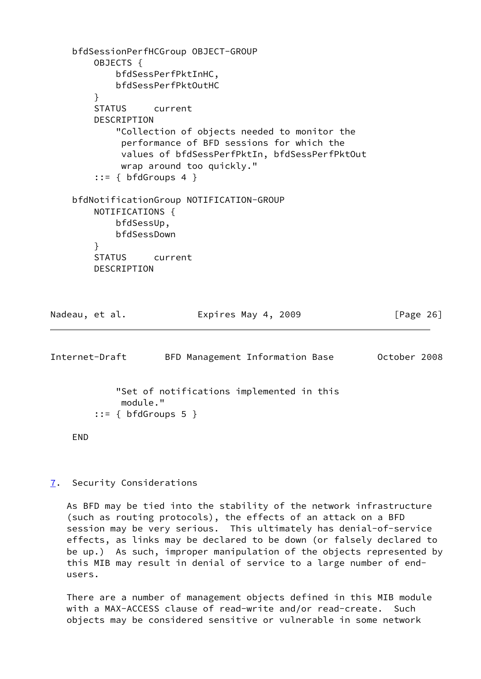```
 bfdSessionPerfHCGroup OBJECT-GROUP
     OBJECTS {
         bfdSessPerfPktInHC,
         bfdSessPerfPktOutHC
     }
     STATUS current
     DESCRIPTION
         "Collection of objects needed to monitor the
          performance of BFD sessions for which the
          values of bfdSessPerfPktIn, bfdSessPerfPktOut
          wrap around too quickly."
    ::= \{ bfdGroups 4 \} bfdNotificationGroup NOTIFICATION-GROUP
     NOTIFICATIONS {
         bfdSessUp,
         bfdSessDown
     }
     STATUS current
     DESCRIPTION
```

```
Nadeau, et al.                 Expires May 4, 2009               [Page 26]
```
<span id="page-29-1"></span>

| Internet-Draft                      | BFD Management Information Base           | October 2008 |
|-------------------------------------|-------------------------------------------|--------------|
| module."<br>$::= \{ bfdGroups 5 \}$ | "Set of notifications implemented in this |              |
|                                     |                                           |              |

```
 END
```
<span id="page-29-0"></span>[7](#page-29-0). Security Considerations

 As BFD may be tied into the stability of the network infrastructure (such as routing protocols), the effects of an attack on a BFD session may be very serious. This ultimately has denial-of-service effects, as links may be declared to be down (or falsely declared to be up.) As such, improper manipulation of the objects represented by this MIB may result in denial of service to a large number of end users.

 There are a number of management objects defined in this MIB module with a MAX-ACCESS clause of read-write and/or read-create. Such objects may be considered sensitive or vulnerable in some network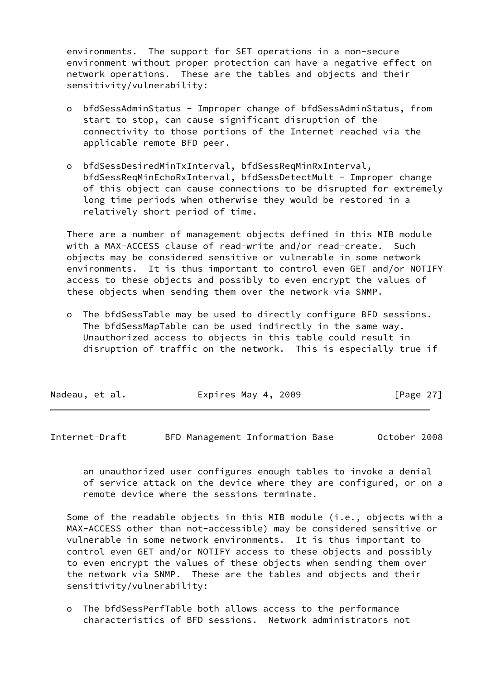environments. The support for SET operations in a non-secure environment without proper protection can have a negative effect on network operations. These are the tables and objects and their sensitivity/vulnerability:

- o bfdSessAdminStatus Improper change of bfdSessAdminStatus, from start to stop, can cause significant disruption of the connectivity to those portions of the Internet reached via the applicable remote BFD peer.
- o bfdSessDesiredMinTxInterval, bfdSessReqMinRxInterval, bfdSessReqMinEchoRxInterval, bfdSessDetectMult - Improper change of this object can cause connections to be disrupted for extremely long time periods when otherwise they would be restored in a relatively short period of time.

 There are a number of management objects defined in this MIB module with a MAX-ACCESS clause of read-write and/or read-create. Such objects may be considered sensitive or vulnerable in some network environments. It is thus important to control even GET and/or NOTIFY access to these objects and possibly to even encrypt the values of these objects when sending them over the network via SNMP.

 o The bfdSessTable may be used to directly configure BFD sessions. The bfdSessMapTable can be used indirectly in the same way. Unauthorized access to objects in this table could result in disruption of traffic on the network. This is especially true if

| Nadeau, et al. | Expires May 4, 2009 | [Page 27] |
|----------------|---------------------|-----------|
|                |                     |           |

<span id="page-30-0"></span>Internet-Draft BFD Management Information Base October 2008

 an unauthorized user configures enough tables to invoke a denial of service attack on the device where they are configured, or on a remote device where the sessions terminate.

Some of the readable objects in this MIB module (i.e., objects with a MAX-ACCESS other than not-accessible) may be considered sensitive or vulnerable in some network environments. It is thus important to control even GET and/or NOTIFY access to these objects and possibly to even encrypt the values of these objects when sending them over the network via SNMP. These are the tables and objects and their sensitivity/vulnerability:

 o The bfdSessPerfTable both allows access to the performance characteristics of BFD sessions. Network administrators not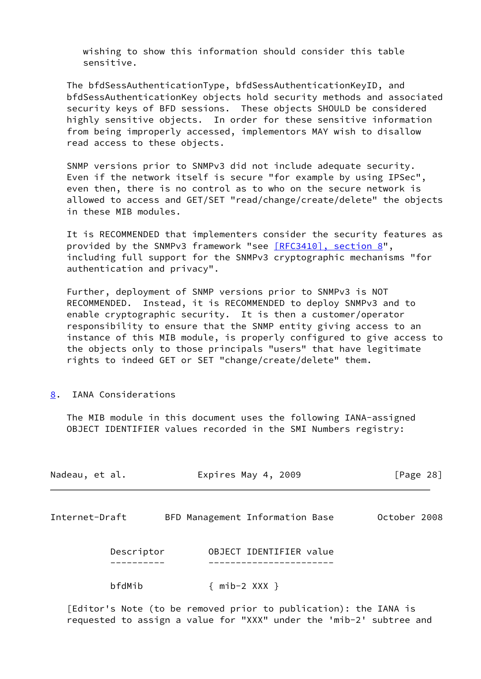wishing to show this information should consider this table sensitive.

 The bfdSessAuthenticationType, bfdSessAuthenticationKeyID, and bfdSessAuthenticationKey objects hold security methods and associated security keys of BFD sessions. These objects SHOULD be considered highly sensitive objects. In order for these sensitive information from being improperly accessed, implementors MAY wish to disallow read access to these objects.

 SNMP versions prior to SNMPv3 did not include adequate security. Even if the network itself is secure "for example by using IPSec", even then, there is no control as to who on the secure network is allowed to access and GET/SET "read/change/create/delete" the objects in these MIB modules.

 It is RECOMMENDED that implementers consider the security features as provided by the SNMPv3 framework "see [\[RFC3410\], section](https://datatracker.ietf.org/doc/pdf/rfc3410#section-8) 8", including full support for the SNMPv3 cryptographic mechanisms "for authentication and privacy".

 Further, deployment of SNMP versions prior to SNMPv3 is NOT RECOMMENDED. Instead, it is RECOMMENDED to deploy SNMPv3 and to enable cryptographic security. It is then a customer/operator responsibility to ensure that the SNMP entity giving access to an instance of this MIB module, is properly configured to give access to the objects only to those principals "users" that have legitimate rights to indeed GET or SET "change/create/delete" them.

#### <span id="page-31-0"></span>[8](#page-31-0). IANA Considerations

 The MIB module in this document uses the following IANA-assigned OBJECT IDENTIFIER values recorded in the SMI Numbers registry:

<span id="page-31-1"></span>

| Nadeau, et al. |            | Expires May 4, 2009                                              |                         |  | [Page 28] |              |  |
|----------------|------------|------------------------------------------------------------------|-------------------------|--|-----------|--------------|--|
| Internet-Draft |            | BFD Management Information Base                                  |                         |  |           | October 2008 |  |
|                | Descriptor |                                                                  | OBJECT IDENTIFIER value |  |           |              |  |
|                | bfdMib     |                                                                  | ${ \nmid h=2 } XXX$     |  |           |              |  |
|                |            | [Editor's Note (to be removed prior to publication): the IANA is |                         |  |           |              |  |

requested to assign a value for "XXX" under the 'mib-2' subtree and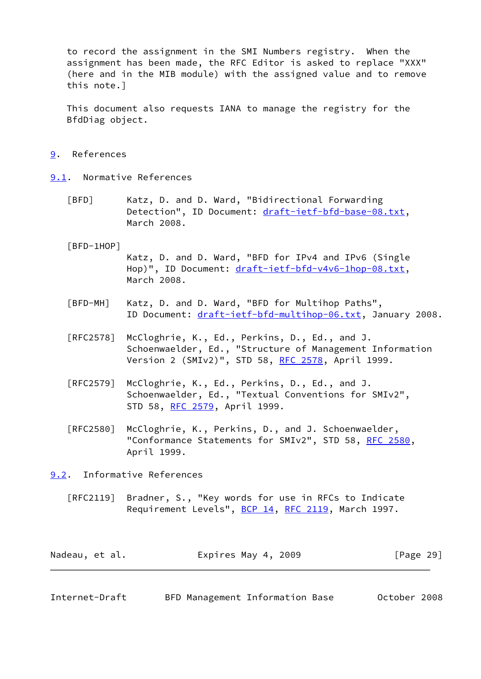to record the assignment in the SMI Numbers registry. When the assignment has been made, the RFC Editor is asked to replace "XXX" (here and in the MIB module) with the assigned value and to remove this note.]

 This document also requests IANA to manage the registry for the BfdDiag object.

- <span id="page-32-0"></span>[9](#page-32-0). References
- <span id="page-32-6"></span><span id="page-32-5"></span><span id="page-32-4"></span><span id="page-32-1"></span>[9.1](#page-32-1). Normative References
	- [BFD] Katz, D. and D. Ward, "Bidirectional Forwarding Detection", ID Document: [draft-ietf-bfd-base-08.txt,](https://datatracker.ietf.org/doc/pdf/draft-ietf-bfd-base-08.txt) March 2008.
	- [BFD-1HOP]
		- Katz, D. and D. Ward, "BFD for IPv4 and IPv6 (Single Hop)", ID Document: [draft-ietf-bfd-v4v6-1hop-08.txt](https://datatracker.ietf.org/doc/pdf/draft-ietf-bfd-v4v6-1hop-08.txt), March 2008.
	- [BFD-MH] Katz, D. and D. Ward, "BFD for Multihop Paths", ID Document: [draft-ietf-bfd-multihop-06.txt](https://datatracker.ietf.org/doc/pdf/draft-ietf-bfd-multihop-06.txt), January 2008.
	- [RFC2578] McCloghrie, K., Ed., Perkins, D., Ed., and J. Schoenwaelder, Ed., "Structure of Management Information Version 2 (SMIv2)", STD 58, [RFC 2578,](https://datatracker.ietf.org/doc/pdf/rfc2578) April 1999.
	- [RFC2579] McCloghrie, K., Ed., Perkins, D., Ed., and J. Schoenwaelder, Ed., "Textual Conventions for SMIv2", STD 58, [RFC 2579,](https://datatracker.ietf.org/doc/pdf/rfc2579) April 1999.
	- [RFC2580] McCloghrie, K., Perkins, D., and J. Schoenwaelder, "Conformance Statements for SMIv2", STD 58, [RFC 2580,](https://datatracker.ietf.org/doc/pdf/rfc2580) April 1999.

<span id="page-32-2"></span>[9.2](#page-32-2). Informative References

 [RFC2119] Bradner, S., "Key words for use in RFCs to Indicate Requirement Levels", [BCP 14](https://datatracker.ietf.org/doc/pdf/bcp14), [RFC 2119](https://datatracker.ietf.org/doc/pdf/rfc2119), March 1997.

| Nadeau, et al. | Expires May 4, 2009 | [Page 29] |
|----------------|---------------------|-----------|
|----------------|---------------------|-----------|

<span id="page-32-3"></span>

| Internet-Draft | BFD Management Information Base |  |  | October 2008 |  |
|----------------|---------------------------------|--|--|--------------|--|
|----------------|---------------------------------|--|--|--------------|--|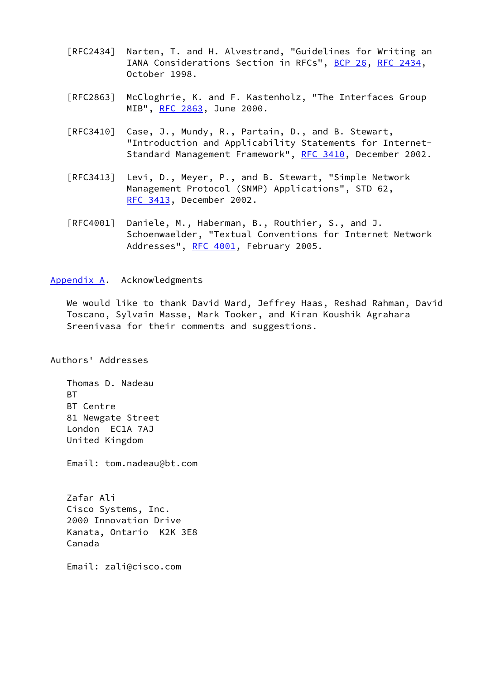- [RFC2434] Narten, T. and H. Alvestrand, "Guidelines for Writing an IANA Considerations Section in RFCs", [BCP 26](https://datatracker.ietf.org/doc/pdf/bcp26), [RFC 2434](https://datatracker.ietf.org/doc/pdf/rfc2434), October 1998.
- [RFC2863] McCloghrie, K. and F. Kastenholz, "The Interfaces Group MIB", [RFC 2863](https://datatracker.ietf.org/doc/pdf/rfc2863), June 2000.
- [RFC3410] Case, J., Mundy, R., Partain, D., and B. Stewart, "Introduction and Applicability Statements for Internet- Standard Management Framework", [RFC 3410,](https://datatracker.ietf.org/doc/pdf/rfc3410) December 2002.
- [RFC3413] Levi, D., Meyer, P., and B. Stewart, "Simple Network Management Protocol (SNMP) Applications", STD 62, [RFC 3413,](https://datatracker.ietf.org/doc/pdf/rfc3413) December 2002.
- [RFC4001] Daniele, M., Haberman, B., Routhier, S., and J. Schoenwaelder, "Textual Conventions for Internet Network Addresses", [RFC 4001,](https://datatracker.ietf.org/doc/pdf/rfc4001) February 2005.

## <span id="page-33-0"></span>[Appendix A.](#page-33-0) Acknowledgments

 We would like to thank David Ward, Jeffrey Haas, Reshad Rahman, David Toscano, Sylvain Masse, Mark Tooker, and Kiran Koushik Agrahara Sreenivasa for their comments and suggestions.

Authors' Addresses

 Thomas D. Nadeau **BT**  BT Centre 81 Newgate Street London EC1A 7AJ United Kingdom

Email: tom.nadeau@bt.com

 Zafar Ali Cisco Systems, Inc. 2000 Innovation Drive Kanata, Ontario K2K 3E8 Canada

Email: zali@cisco.com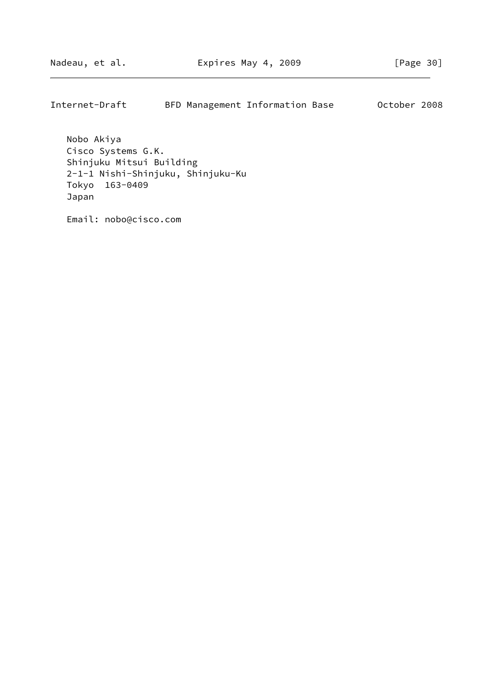Internet-Draft BFD Management Information Base October 2008

 Nobo Akiya Cisco Systems G.K. Shinjuku Mitsui Building 2-1-1 Nishi-Shinjuku, Shinjuku-Ku Tokyo 163-0409 Japan

Email: nobo@cisco.com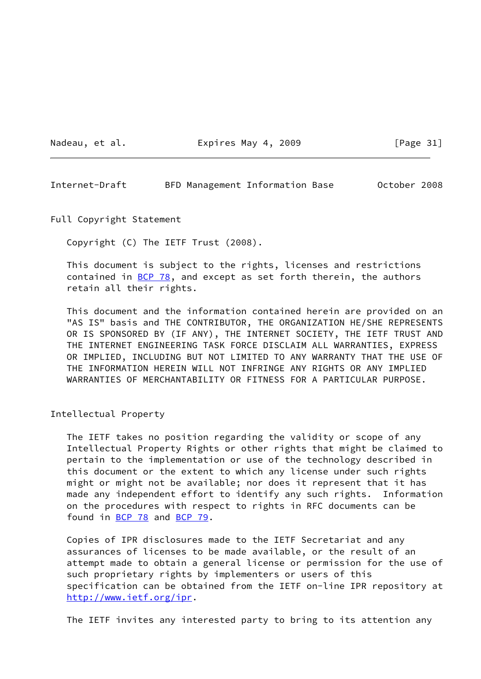Nadeau, et al. **Expires May 4, 2009** [Page 31]

<span id="page-35-0"></span>Internet-Draft BFD Management Information Base October 2008

Full Copyright Statement

Copyright (C) The IETF Trust (2008).

 This document is subject to the rights, licenses and restrictions contained in [BCP 78](https://datatracker.ietf.org/doc/pdf/bcp78), and except as set forth therein, the authors retain all their rights.

 This document and the information contained herein are provided on an "AS IS" basis and THE CONTRIBUTOR, THE ORGANIZATION HE/SHE REPRESENTS OR IS SPONSORED BY (IF ANY), THE INTERNET SOCIETY, THE IETF TRUST AND THE INTERNET ENGINEERING TASK FORCE DISCLAIM ALL WARRANTIES, EXPRESS OR IMPLIED, INCLUDING BUT NOT LIMITED TO ANY WARRANTY THAT THE USE OF THE INFORMATION HEREIN WILL NOT INFRINGE ANY RIGHTS OR ANY IMPLIED WARRANTIES OF MERCHANTABILITY OR FITNESS FOR A PARTICULAR PURPOSE.

Intellectual Property

 The IETF takes no position regarding the validity or scope of any Intellectual Property Rights or other rights that might be claimed to pertain to the implementation or use of the technology described in this document or the extent to which any license under such rights might or might not be available; nor does it represent that it has made any independent effort to identify any such rights. Information on the procedures with respect to rights in RFC documents can be found in [BCP 78](https://datatracker.ietf.org/doc/pdf/bcp78) and [BCP 79](https://datatracker.ietf.org/doc/pdf/bcp79).

 Copies of IPR disclosures made to the IETF Secretariat and any assurances of licenses to be made available, or the result of an attempt made to obtain a general license or permission for the use of such proprietary rights by implementers or users of this specification can be obtained from the IETF on-line IPR repository at <http://www.ietf.org/ipr>.

The IETF invites any interested party to bring to its attention any